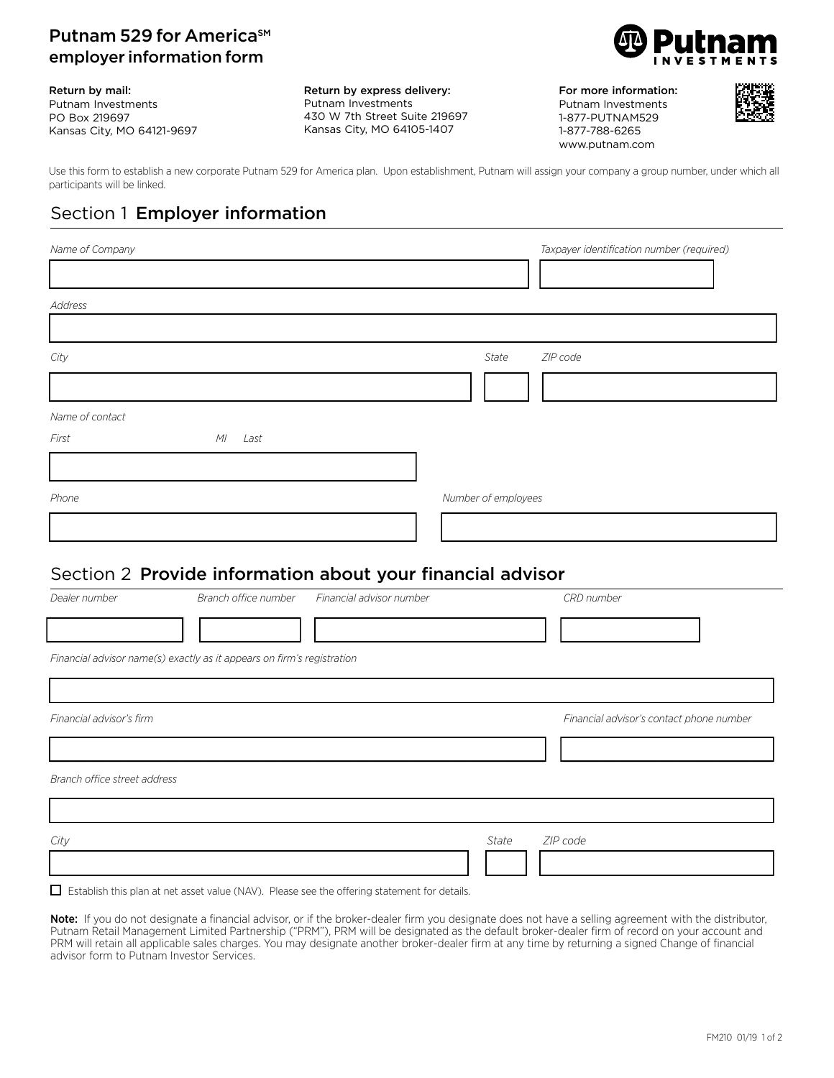### Putnam 529 for America<sup>SM</sup> employer information form



#### Return by mail:

Putnam Investments PO Box 219697 Kansas City, MO 64121-9697 Return by express delivery: Putnam Investments 430 W 7th Street Suite 219697 Kansas City, MO 64105-1407

For more information: Putnam Investments 1-877-PUTNAM529 1-877-788-6265 www.putnam.com



Use this form to establish a new corporate Putnam 529 for America plan. Upon establishment, Putnam will assign your company a group number, under which all participants will be linked.

# Section 1 Employer information

| Name of Company |           | Taxpayer identification number (required) |
|-----------------|-----------|-------------------------------------------|
|                 |           |                                           |
| Address         |           |                                           |
|                 |           |                                           |
| City            |           | ZIP code<br>State                         |
|                 |           |                                           |
| Name of contact |           |                                           |
| First           | M<br>Last |                                           |
|                 |           |                                           |
| Phone           |           | Number of employees                       |
|                 |           |                                           |

### Section 2 Provide information about your financial advisor

| Dealer number                | Branch office number                                                   | Financial advisor number |       | CRD number                               |
|------------------------------|------------------------------------------------------------------------|--------------------------|-------|------------------------------------------|
|                              |                                                                        |                          |       |                                          |
|                              | Financial advisor name(s) exactly as it appears on firm's registration |                          |       |                                          |
|                              |                                                                        |                          |       |                                          |
| Financial advisor's firm     |                                                                        |                          |       | Financial advisor's contact phone number |
|                              |                                                                        |                          |       |                                          |
| Branch office street address |                                                                        |                          |       |                                          |
|                              |                                                                        |                          |       |                                          |
| City                         |                                                                        |                          | State | ZIP code                                 |
|                              |                                                                        |                          |       |                                          |

 $\Box$  Establish this plan at net asset value (NAV). Please see the offering statement for details.

Note: If you do not designate a financial advisor, or if the broker-dealer firm you designate does not have a selling agreement with the distributor, Putnam Retail Management Limited Partnership ("PRM"), PRM will be designated as the default broker-dealer firm of record on your account and PRM will retain all applicable sales charges. You may designate another broker-dealer firm at any time by returning a signed Change of financial advisor form to Putnam Investor Services.